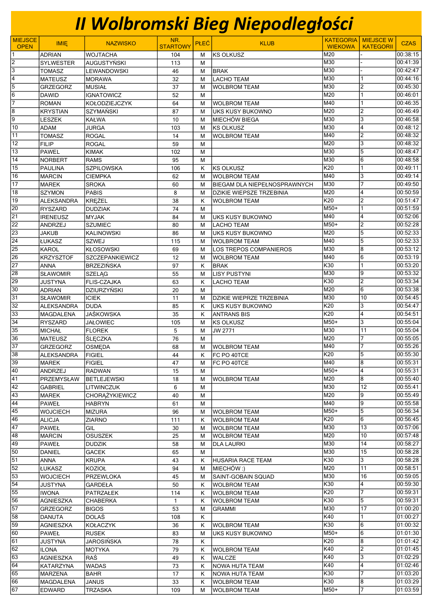## II Wolbromski Bieg Niepodległości

| <b>MIEJSCE</b>        |                                      |                                          | NR.             |             |                                               |                  | <b>KATEGORIA MIEJSCE W</b> |                      |
|-----------------------|--------------------------------------|------------------------------------------|-----------------|-------------|-----------------------------------------------|------------------|----------------------------|----------------------|
| <b>OPEN</b>           | <b>IMIE</b>                          | <b>NAZWISKO</b>                          | <b>STARTOWY</b> | <b>PLEC</b> | <b>KLUB</b>                                   | <b>WIEKOWA</b>   | <b>KATEGORII</b>           | <b>CZAS</b>          |
| $\mathbf{1}$          | <b>ADRIAN</b>                        | <b>WOJTACHA</b>                          | 104             | M           | KS OLKUSZ                                     | M20              |                            | 00:38:15             |
| $\overline{2}$        | <b>SYLWESTER</b>                     | AUGUSTYŃSKI                              | 113             | M           |                                               | M30              |                            | 00:41:39             |
| $\overline{3}$        | <b>TOMASZ</b>                        | <b>LEWANDOWSKI</b>                       | 46              | M           | BRAK                                          | M30              |                            | 00:42:47             |
| 4                     | <b>MATEUSZ</b>                       | <b>MORAWA</b>                            | 32              | M           | <b>LACHO TEAM</b>                             | M30              |                            | 00:44:16             |
| $\overline{5}$        | <b>GRZEGORZ</b>                      | <b>MUSIAŁ</b>                            | 37              | M           | <b>WOLBROM TEAM</b>                           | M30              | 2                          | 00:45:30             |
| $\overline{6}$        | <b>DAWID</b>                         | <b>IGNATOWICZ</b>                        | 52              | M           |                                               | M20              |                            | 00:46:01             |
| $\overline{7}$        | <b>ROMAN</b>                         | KOŁODZIEJCZYK                            | 64              | M           | <b>WOLBROM TEAM</b>                           | M40              |                            | 00:46:35             |
| 8                     | <b>KRYSTIAN</b>                      | <b>SZYMAŃSKI</b>                         | 87              | M           | <b>UKS KUSY BUKOWNO</b>                       | M20              | $\overline{2}$             | 00:46:49             |
| 9                     | <b>LESZEK</b>                        | <b>KAŁWA</b>                             | 10              | M           | MIECHÓW BIEGA                                 | M30              | 3                          | 00:46:58             |
| $\overline{10}$       | <b>ADAM</b>                          | <b>JURGA</b>                             | 103             | M           | KS OLKUSZ                                     | M30              | $\overline{\mathbf{4}}$    | 00:48:12             |
| 11                    | <b>TOMASZ</b>                        | <b>ROGAL</b>                             | 14              | M           | <b>WOLBROM TEAM</b>                           | M40              | $\overline{2}$             | 00:48:32             |
| 12                    | <b>FILIP</b>                         | <b>ROGAL</b>                             | 59              | M           |                                               | M20              | 3                          | 00:48:32             |
| 13                    | <b>PAWEL</b>                         | <b>KIMAK</b>                             | 102             | M           |                                               | M30              | 5                          | 00:48:47             |
| 14                    | <b>NORBERT</b>                       | <b>RAMS</b>                              | 95              | M           |                                               | M30              | 6                          | 00:48:58             |
| $\overline{15}$       | <b>PAULINA</b>                       | <b>SZPILOWSKA</b>                        | 106             | Κ           | KS OLKUSZ                                     | K20              |                            | 00:49:11             |
| 16                    | <b>MARCIN</b>                        | CIEMPKA                                  | 62              | M           | <b>WOLBROM TEAM</b>                           | M40              | 3                          | 00:49:14             |
| 17                    | <b>MAREK</b>                         | <b>SROKA</b>                             | 60              | M           | <b>BIEGAM DLA NIEPEŁNOSPRAWNYCH</b>           | M30              | 7                          | 00:49:50             |
| 18                    | <b>SZYMON</b>                        | <b>PABIS</b>                             | 8               | M           | <b>DZIKIE WIEPSZE TRZEBINIA</b>               | M20              | 4                          | 00:50:59             |
| 19                    | <b>ALEKSANDRA</b>                    | <b>KREŻEL</b>                            | $\overline{38}$ | Κ           | <b>WOLBROM TEAM</b>                           | $\overline{K20}$ | $\overline{2}$             | 00:51:47             |
| $\overline{20}$       | <b>RYSZARD</b>                       | <b>DUDZIAK</b>                           | 74              | м           |                                               | $M50+$           | 1                          | 00:51:59             |
| 21                    | <b>IRENEUSZ</b>                      | <b>MYJAK</b>                             | 84              | M           | <b>UKS KUSY BUKOWNO</b>                       | M40              | $\overline{4}$             | 00:52:06             |
| $\overline{22}$       | <b>ANDRZEJ</b>                       | <b>SZUMIEC</b>                           | 80              | M           | <b>LACHO TEAM</b>                             | $M50+$           | $\overline{2}$             | 00:52:28             |
| $\overline{23}$       | <b>JAKUB</b>                         | <b>KALINOWSKI</b>                        | 86              | M           | UKS KUSY BUKOWNO                              | M20              | 5                          | 00:52:33             |
| $\overline{24}$       | ŁUKASZ                               | <b>SZWEJ</b>                             | 115             | м           | <b>WOLBROM TEAM</b>                           | M40              | 5                          | 00:52:33             |
| $\overline{25}$<br>26 | <b>KAROL</b>                         | <b>KŁOSOWSKI</b>                         | 69              | M           | <b>LOS TREPOS COMPANIEROS</b>                 | M30              | 8                          | 00:53:12             |
| $\overline{27}$       | <b>KRZYSZTOF</b>                     | <b>SZCZEPANKIEWICZ</b>                   | 12              | м           | <b>WOLBROM TEAM</b>                           | M40<br>K30       | 6<br>1                     | 00:53:19<br>00:53:20 |
| $\overline{28}$       | <b>ANNA</b>                          | <b>BRZEZIŃSKA</b>                        | 97              | K           | <b>BRAK</b>                                   | M30              | 9                          | 00:53:32             |
| 29                    | <b>SŁAWOMIR</b>                      | <b>SZELAG</b>                            | 55              | M           | <b>LISY PUSTYNI</b>                           | K30              | $\overline{2}$             | 00:53:34             |
| 30                    | <b>JUSTYNA</b>                       | <b>FLIS-CZAJKA</b><br><b>DZIURZYŃSKI</b> | 63<br>20        | K<br>M      | <b>LACHO TEAM</b>                             | M20              | $\overline{6}$             | 00:53:38             |
| 31                    | <b>ADRIAN</b>                        |                                          | 11              |             |                                               | M30              | 10                         | 00:54:45             |
| 32                    | <b>SŁAWOMIR</b><br><b>ALEKSANDRA</b> | <b>ICIEK</b>                             |                 | M           | <b>DZIKIE WIEPRZE TRZEBINIA</b>               | K20              | 3                          | 00:54:47             |
| $\overline{33}$       | MAGDALENA                            | <b>DUDA</b><br><b>JAŚKOWSKA</b>          | 85<br>35        | K<br>K      | <b>UKS KUSY BUKOWNO</b><br><b>ANTRANS BIS</b> | K20              | 4                          | 00:54:51             |
| 34                    | <b>RYSZARD</b>                       | JAŁOWIEC                                 | 105             | M           | <b>KS OLKUSZ</b>                              | $M50+$           | 3                          | 00:55:04             |
| 35                    | <b>MICHAŁ</b>                        | <b>FLOREK</b>                            | 5               | M           | JW 2771                                       | M30              | 11                         | 00:55:04             |
| 36                    | <b>MATEUSZ</b>                       | <b>ŚLĘCZKA</b>                           | $\overline{76}$ | M           |                                               | M20              | 7                          | 00:55:05             |
| $\overline{37}$       | <b>GRZEGORZ</b>                      | <b>OSMEDA</b>                            | 68              | M           | <b>WOLBROM TEAM</b>                           | M40              | 7                          | 00:55:26             |
| 38                    | ALEKSANDRA                           | <b>FIGIEL</b>                            | 44              | K           | FC PO 40TCE                                   | K20              | 5                          | 00:55:30             |
| 39                    | <b>MAREK</b>                         | FIGIEL                                   | 47              | м           | FC PO 40TCE                                   | M40              | 18                         | 00:55:31             |
| 40                    | ANDRZEJ                              | <b>RADWAN</b>                            | 15              | M           |                                               | M50+             | 4                          | 00:55:31             |
| 41                    | PRZEMYSŁAW                           | <b>BETLEJEWSKI</b>                       | 18              | м           | <b>WOLBROM TEAM</b>                           | M20              | 8                          | 00:55:40             |
| $\overline{42}$       | <b>GABRIEL</b>                       | LITWINCZUK                               | 6               | M           |                                               | <b>M30</b>       | 12                         | 00:55:41             |
| 43                    | <b>MAREK</b>                         | CHORĄŻYKIEWICZ                           | 40              | M           |                                               | M20              | 9                          | 00:55:49             |
| 44                    | <b>PAWEŁ</b>                         | <b>HABRYN</b>                            | 61              | M           |                                               | M40              | 9                          | 00:55:58             |
| 45                    | <b>WOJCIECH</b>                      | <b>MIZURA</b>                            | 96              | м           | <b>WOLBROM TEAM</b>                           | $M50+$           | 5                          | 00:56:34             |
| 46                    | <b>ALICJA</b>                        | <b>ZIARNO</b>                            | 111             | Κ           | <b>WOLBROM TEAM</b>                           | K20              | 16                         | 00:56:45             |
| 47                    | <b>PAWEŁ</b>                         | GIL                                      | 30              | М           | <b>WOLBROM TEAM</b>                           | M30              | 13                         | 00:57:06             |
| 48                    | <b>MARCIN</b>                        | <b>OSUSZEK</b>                           | 25              | М           | <b>WOLBROM TEAM</b>                           | M20              | 10                         | 00:57:48             |
| 49                    | <b>PAWEŁ</b>                         | <b>DUDZIK</b>                            | 58              | м           | <b>DLA LAURKI</b>                             | M30              | 14                         | 00:58:27             |
| 50                    | <b>DANIEL</b>                        | <b>GACEK</b>                             | 65              | м           |                                               | M30              | 15                         | 00:58:28             |
| $\overline{51}$       | <b>ANNA</b>                          | <b>KRUPA</b>                             | 43              | Κ           | HUSARIA RACE TEAM                             | K30              | 3                          | 00:58:28             |
| 52                    | ŁUKASZ                               | <b>KOZIOŁ</b>                            | 94              | м           | (: MIECHÓW)                                   | M20              | 11                         | 00:58:51             |
| 53                    | <b>WOJCIECH</b>                      | PRZEWLOKA                                | 45              | м           | SAINT-GOBAIN SQUAD                            | M30              | 16                         | 00:59:05             |
| 54                    | <b>JUSTYNA</b>                       | GARDEŁA                                  | 50              | Κ           | <b>WOLBROM TEAM</b>                           | K30              | 4                          | 00:59:30             |
| $\overline{55}$       | <b>IWONA</b>                         | PATRZAŁEK                                | 114             | K.          | <b>WOLBROM TEAM</b>                           | K20              | $\overline{7}$             | 00:59:31             |
| 56                    | <b>AGNIESZKA</b>                     | <b>CHABERKA</b>                          | 1               | Κ           | <b>WOLBROM TEAM</b>                           | K30              | 5                          | 00:59:31             |
| 57                    | <b>GRZEGORZ</b>                      | <b>BIGOS</b>                             | 53              | M           | <b>GRAMMI</b>                                 | M30              | $\overline{17}$            | 01:00:20             |
| 58                    | <b>DANUTA</b>                        | <b>DOLAŚ</b>                             | 108             | Κ           |                                               | K40              | 1                          | 01:00:27             |
| 59                    | <b>AGNIESZKA</b>                     | <b>KOŁACZYK</b>                          | 36              | Κ           | WOLBROM TEAM                                  | K30              | 6                          | 01:00:32             |
| 60                    | <b>PAWEŁ</b>                         | <b>RUSEK</b>                             | 83              | м           | UKS KUSY BUKOWNO                              | $M50+$           | 16                         | 01:01:30             |
| 61                    | <b>JUSTYNA</b>                       | JAROSIŃSKA                               | 78              | Κ           |                                               | K20              | 8                          | 01:01:42             |
| 62                    | <b>ILONA</b>                         | <b>MOTYKA</b>                            | 79              | Κ           | <b>WOLBROM TEAM</b>                           | K40              | 2                          | 01:01:45             |
| 63                    | <b>AGNIESZKA</b>                     | RAŚ                                      | 49              | Κ           | <b>WALCZE</b>                                 | K40              | 3                          | 01:02:29             |
| 64                    | KATARZYNA                            | <b>WADAS</b>                             | 73              | Κ           | NOWA HUTA TEAM                                | K40              | 4                          | 01:02:46             |
| 65                    | <b>MARZENA</b>                       | <b>BAHR</b>                              | 17              | K           | NOWA HUTA TEAM                                | K30              | 7                          | 01:03:20             |
| 66                    | <b>MAGDALENA</b>                     | <b>JANUS</b>                             | 33              | Κ           | <b>WOLBROM TEAM</b>                           | K30              | 8                          | 01:03:29             |
| 67                    | <b>EDWARD</b>                        | <b>TRZASKA</b>                           | 109             | м           | <b>WOLBROM TEAM</b>                           | M50+             | $\overline{7}$             | 01:03:59             |